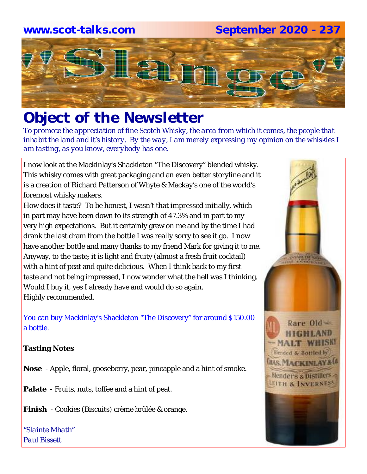## **www.scot-talks.com September 2020 - 237**



# *Object of the Newsletter*

*To promote the appreciation of fine Scotch Whisky, the area from which it comes, the people that inhabit the land and it's history. By the way, I am merely expressing my opinion on the whiskies I am tasting, as you know, everybody has one.* 

I now look at the Mackinlay's Shackleton "The Discovery" blended whisky. This whisky comes with great packaging and an even better storyline and it is a creation of Richard Patterson of Whyte & Mackay's one of the world's foremost whisky makers.

How does it taste? To be honest, I wasn't that impressed initially, which in part may have been down to its strength of 47.3% and in part to my very high expectations. But it certainly grew on me and by the time I had drank the last dram from the bottle I was really sorry to see it go. I now have another bottle and many thanks to my friend Mark for giving it to me. Anyway, to the taste; it is light and fruity (almost a fresh fruit cocktail) with a hint of peat and quite delicious. When I think back to my first taste and not being impressed, I now wonder what the hell was I thinking. Would I buy it, yes I already have and would do so again. Highly recommended.

You can buy Mackinlay's Shackleton "The Discovery" for around \$150.00 a bottle.

## **Tasting Notes**

**Nose** - Apple, floral, gooseberry, pear, pineapple and a hint of smoke.

**Palate** - Fruits, nuts, toffee and a hint of peat.

**Finish** - Cookies (Biscuits) crème brûlée & orange.

*"Slainte Mhath" Paul Bissett*

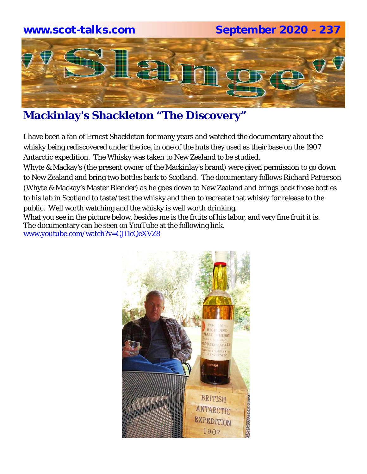

## **Mackinlay's Shackleton "The Discovery"**

I have been a fan of Ernest Shackleton for many years and watched the documentary about the whisky being rediscovered under the ice, in one of the huts they used as their base on the 1907 Antarctic expedition. The Whisky was taken to New Zealand to be studied.

Whyte & Mackay's (the present owner of the Mackinlay's brand) were given permission to go down to New Zealand and bring two bottles back to Scotland. The documentary follows Richard Patterson (Whyte & Mackay's Master Blender) as he goes down to New Zealand and brings back those bottles to his lab in Scotland to taste/test the whisky and then to recreate that whisky for release to the public. Well worth watching and the whisky is well worth drinking.

What you see in the picture below, besides me is the fruits of his labor, and very fine fruit it is. The documentary can be seen on YouTube at the following link. www.youtube.com/watch?v=CJi1cQeXVZ8

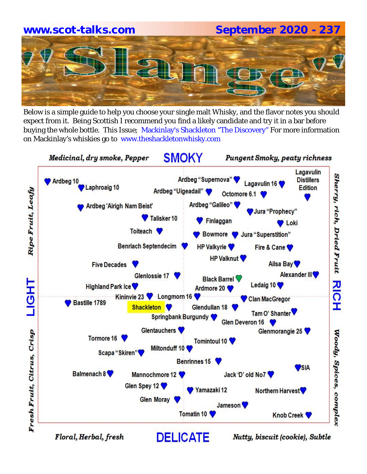# **www.scot-talks.com September 2020 - 237**

Below is a simple guide to help you choose your single malt Whisky, and the flavor notes you should expect from it. Being Scottish I recommend you find a likely candidate and try it in a bar before buying the whole bottle. This Issue; Mackinlay's Shackleton "The Discovery" For more information on Mackinlay's whiskies go to www.theshackletonwhisky.com

**SMOKY** Medicinal, dry smoke, Pepper **Pungent Smoky, peaty richness** Lagavulin Sherry, rich, Dried Fruit Ardbeg "Supernova" **Distillers** Ardbeg 10 Lagavulin 16 Laphroaig 10 **Edition** Ripe Fruit, Leafy Ardbeg "Uigeadail" Octomore 6.1 Ardbeg "Galileo" **Ardbeg 'Airigh Nam Beist'** Jura "Prophecy" Talisker<sub>10</sub> Finlaggan **D** Loki Toiteach **V** Bowmore V Jura "Superstition" **Benriach Septendecim HP Valkyrie** Fire & Cane **HP Valknut** Ailsa Bay **Five Decades** Alexander III<sup>V</sup> Glenlossie 17 **Black Barrel**  $\frac{1}{2}$ TH<sub>5</sub> Ledaig 10 **Highland Park Ice** Ardmore 20 Kininvie 23 V Longmorn 16 Clan MacGregor Bastille 1789 I Shackleton V Glendullan 18 Tam O' Shanter ▼ **Springbank Burgundy** Glen Deveron 16 **Glentauchers** Glenmorangie 25 Woody, Spices, complex Fresh Fruit, Citrus, Crisp Tormore 16 Tomintoul 10 Miltonduff 10 Scapa "Skiren" Benrinnes 15 **PSIA** Balmenach 8 Mannochmore 12 Jack 'D' old No7 Glen Spey 12 Yamazaki 12 Northern Harvest **Glen Moray** Jameson<sup>V</sup> Tomatin 10 **Knob Creek DELICATE** Floral, Herbal, fresh Nutty, biscuit (cookie), Subtle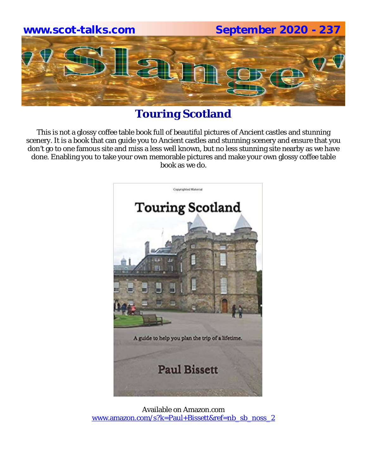

## **Touring Scotland**

This is not a glossy coffee table book full of beautiful pictures of Ancient castles and stunning scenery. It is a book that can guide you to Ancient castles and stunning scenery and ensure that you don't go to one famous site and miss a less well known, but no less stunning site nearby as we have done. Enabling you to take your own memorable pictures and make your own glossy coffee table book as we do.



Available on Amazon.com www.amazon.com/s?k=Paul+Bissett&ref=nb\_sb\_noss\_2